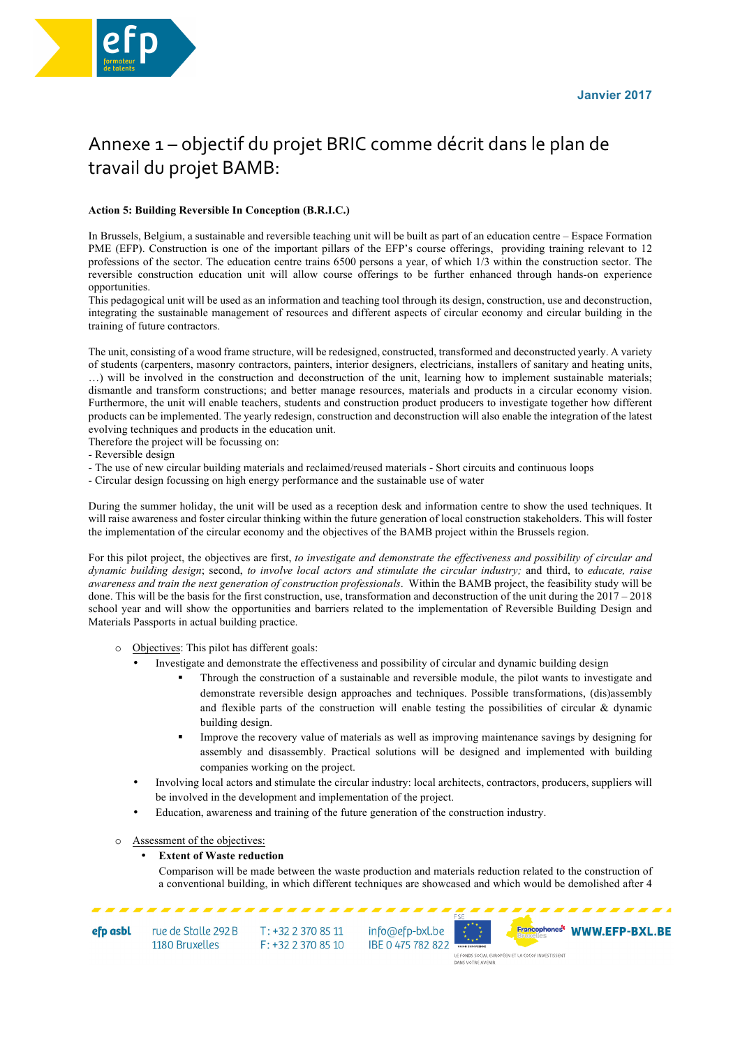

## Annexe 1 – objectif du projet BRIC comme décrit dans le plan de travail du projet BAMB:

## **Action 5: Building Reversible In Conception (B.R.I.C.)**

In Brussels, Belgium, a sustainable and reversible teaching unit will be built as part of an education centre – Espace Formation PME (EFP). Construction is one of the important pillars of the EFP's course offerings, providing training relevant to 12 professions of the sector. The education centre trains 6500 persons a year, of which 1/3 within the construction sector. The reversible construction education unit will allow course offerings to be further enhanced through hands-on experience opportunities.

This pedagogical unit will be used as an information and teaching tool through its design, construction, use and deconstruction, integrating the sustainable management of resources and different aspects of circular economy and circular building in the training of future contractors.

The unit, consisting of a wood frame structure, will be redesigned, constructed, transformed and deconstructed yearly. A variety of students (carpenters, masonry contractors, painters, interior designers, electricians, installers of sanitary and heating units, …) will be involved in the construction and deconstruction of the unit, learning how to implement sustainable materials; dismantle and transform constructions; and better manage resources, materials and products in a circular economy vision. Furthermore, the unit will enable teachers, students and construction product producers to investigate together how different products can be implemented. The yearly redesign, construction and deconstruction will also enable the integration of the latest evolving techniques and products in the education unit.

Therefore the project will be focussing on:

- Reversible design
- The use of new circular building materials and reclaimed/reused materials Short circuits and continuous loops
- Circular design focussing on high energy performance and the sustainable use of water

During the summer holiday, the unit will be used as a reception desk and information centre to show the used techniques. It will raise awareness and foster circular thinking within the future generation of local construction stakeholders. This will foster the implementation of the circular economy and the objectives of the BAMB project within the Brussels region.

For this pilot project, the objectives are first, *to investigate and demonstrate the effectiveness and possibility of circular and dynamic building design*; second, *to involve local actors and stimulate the circular industry;* and third, to *educate, raise awareness and train the next generation of construction professionals*. Within the BAMB project, the feasibility study will be done. This will be the basis for the first construction, use, transformation and deconstruction of the unit during the  $2017 - 2018$ school year and will show the opportunities and barriers related to the implementation of Reversible Building Design and Materials Passports in actual building practice.

- o Objectives: This pilot has different goals:
	- Investigate and demonstrate the effectiveness and possibility of circular and dynamic building design
		- § Through the construction of a sustainable and reversible module, the pilot wants to investigate and demonstrate reversible design approaches and techniques. Possible transformations, (dis)assembly and flexible parts of the construction will enable testing the possibilities of circular  $\&$  dynamic building design.
		- Improve the recovery value of materials as well as improving maintenance savings by designing for assembly and disassembly. Practical solutions will be designed and implemented with building companies working on the project.
	- Involving local actors and stimulate the circular industry: local architects, contractors, producers, suppliers will be involved in the development and implementation of the project.
	- Education, awareness and training of the future generation of the construction industry.

## o Assessment of the objectives:

## • **Extent of Waste reduction**

Comparison will be made between the waste production and materials reduction related to the construction of a conventional building, in which different techniques are showcased and which would be demolished after 4

efp asbl

rue de Stalle 292 B T: +32 2 370 85 11 F: +32 2 370 85 10 1180 Bruxelles

,,,,,,,,,,,,,,,,

info@efp-bxl.be IBE 0 475 782 822



**E FONDS SOCIAL FURORÉEN ET LA COCOE INVESTISSENT**